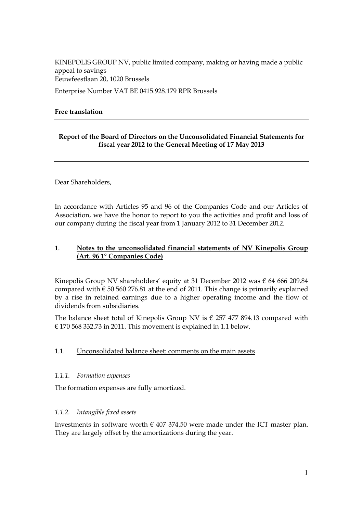KINEPOLIS GROUP NV, public limited company, making or having made a public appeal to savings Eeuwfeestlaan 20, 1020 Brussels Enterprise Number VAT BE 0415.928.179 RPR Brussels

# **Free translation**

# **Report of the Board of Directors on the Unconsolidated Financial Statements for fiscal year 2012 to the General Meeting of 17 May 2013**

Dear Shareholders,

In accordance with Articles 95 and 96 of the Companies Code and our Articles of Association, we have the honor to report to you the activities and profit and loss of our company during the fiscal year from 1 January 2012 to 31 December 2012.

# **1**. **Notes to the unconsolidated financial statements of NV Kinepolis Group (Art. 96 1° Companies Code)**

Kinepolis Group NV shareholders' equity at 31 December 2012 was  $\epsilon$  64 666 209.84 compared with  $\epsilon$  50 560 276.81 at the end of 2011. This change is primarily explained by a rise in retained earnings due to a higher operating income and the flow of dividends from subsidiaries.

The balance sheet total of Kinepolis Group NV is  $\epsilon$  257 477 894.13 compared with € 170 568 332.73 in 2011. This movement is explained in 1.1 below.

## 1.1. Unconsolidated balance sheet: comments on the main assets

## *1.1.1. Formation expenses*

The formation expenses are fully amortized.

## *1.1.2. Intangible fixed assets*

Investments in software worth  $\epsilon$  407 374.50 were made under the ICT master plan. They are largely offset by the amortizations during the year.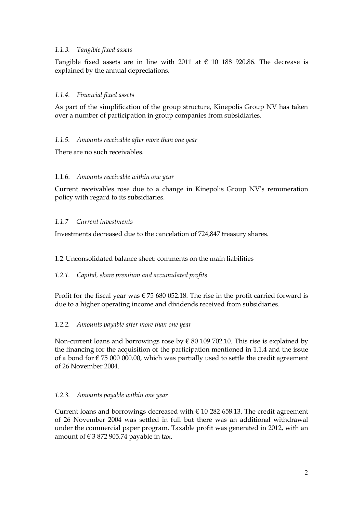# *1.1.3. Tangible fixed assets*

Tangible fixed assets are in line with 2011 at  $\epsilon$  10 188 920.86. The decrease is explained by the annual depreciations.

# *1.1.4. Financial fixed assets*

As part of the simplification of the group structure, Kinepolis Group NV has taken over a number of participation in group companies from subsidiaries.

## *1.1.5. Amounts receivable after more than one year*

There are no such receivables.

#### 1.1.6. *Amounts receivable within one year*

Current receivables rose due to a change in Kinepolis Group NV"s remuneration policy with regard to its subsidiaries.

## *1.1.7 Current investments*

Investments decreased due to the cancelation of 724,847 treasury shares.

#### 1.2.Unconsolidated balance sheet: comments on the main liabilities

#### *1.2.1. Capital, share premium and accumulated profits*

Profit for the fiscal year was  $\epsilon$  75 680 052.18. The rise in the profit carried forward is due to a higher operating income and dividends received from subsidiaries.

#### *1.2.2. Amounts payable after more than one year*

Non-current loans and borrowings rose by  $\epsilon$  80 109 702.10. This rise is explained by the financing for the acquisition of the participation mentioned in 1.1.4 and the issue of a bond for  $\epsilon$  75 000 000.00, which was partially used to settle the credit agreement of 26 November 2004.

#### *1.2.3. Amounts payable within one year*

Current loans and borrowings decreased with  $\epsilon$  10 282 658.13. The credit agreement of 26 November 2004 was settled in full but there was an additional withdrawal under the commercial paper program. Taxable profit was generated in 2012, with an amount of  $\epsilon$  3 872 905.74 payable in tax.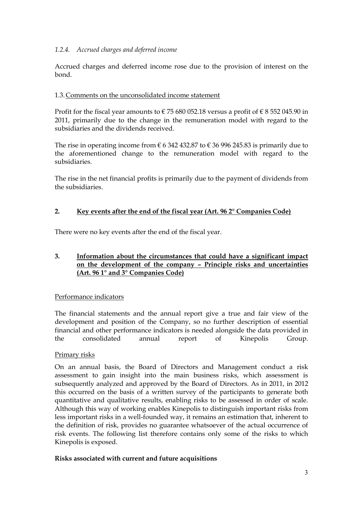# *1.2.4. Accrued charges and deferred income*

Accrued charges and deferred income rose due to the provision of interest on the bond.

# 1.3.Comments on the unconsolidated income statement

Profit for the fiscal year amounts to  $\epsilon$  75 680 052.18 versus a profit of  $\epsilon$  8 552 045.90 in 2011, primarily due to the change in the remuneration model with regard to the subsidiaries and the dividends received.

The rise in operating income from  $\epsilon$  6 342 432.87 to  $\epsilon$  36 996 245.83 is primarily due to the aforementioned change to the remuneration model with regard to the subsidiaries.

The rise in the net financial profits is primarily due to the payment of dividends from the subsidiaries.

## **2. Key events after the end of the fiscal year (Art. 96 2° Companies Code)**

There were no key events after the end of the fiscal year.

# **3. Information about the circumstances that could have a significant impact on the development of the company – Principle risks and uncertainties (Art. 96 1° and 3° Companies Code)**

## Performance indicators

The financial statements and the annual report give a true and fair view of the development and position of the Company, so no further description of essential financial and other performance indicators is needed alongside the data provided in the consolidated annual report of Kinepolis Group.

## Primary risks

On an annual basis, the Board of Directors and Management conduct a risk assessment to gain insight into the main business risks, which assessment is subsequently analyzed and approved by the Board of Directors. As in 2011, in 2012 this occurred on the basis of a written survey of the participants to generate both quantitative and qualitative results, enabling risks to be assessed in order of scale. Although this way of working enables Kinepolis to distinguish important risks from less important risks in a well-founded way, it remains an estimation that, inherent to the definition of risk, provides no guarantee whatsoever of the actual occurrence of risk events. The following list therefore contains only some of the risks to which Kinepolis is exposed.

## **Risks associated with current and future acquisitions**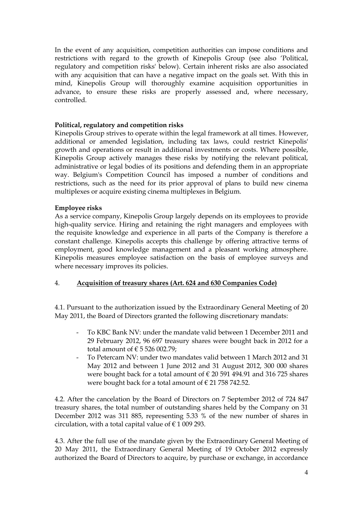In the event of any acquisition, competition authorities can impose conditions and restrictions with regard to the growth of Kinepolis Group (see also "Political, regulatory and competition risks' below). Certain inherent risks are also associated with any acquisition that can have a negative impact on the goals set. With this in mind, Kinepolis Group will thoroughly examine acquisition opportunities in advance, to ensure these risks are properly assessed and, where necessary, controlled.

# **Political, regulatory and competition risks**

Kinepolis Group strives to operate within the legal framework at all times. However, additional or amended legislation, including tax laws, could restrict Kinepolis' growth and operations or result in additional investments or costs. Where possible, Kinepolis Group actively manages these risks by notifying the relevant political, administrative or legal bodies of its positions and defending them in an appropriate way. Belgium's Competition Council has imposed a number of conditions and restrictions, such as the need for its prior approval of plans to build new cinema multiplexes or acquire existing cinema multiplexes in Belgium.

## **Employee risks**

As a service company, Kinepolis Group largely depends on its employees to provide high-quality service. Hiring and retaining the right managers and employees with the requisite knowledge and experience in all parts of the Company is therefore a constant challenge. Kinepolis accepts this challenge by offering attractive terms of employment, good knowledge management and a pleasant working atmosphere. Kinepolis measures employee satisfaction on the basis of employee surveys and where necessary improves its policies.

# 4. **Acquisition of treasury shares (Art. 624 and 630 Companies Code)**

4.1. Pursuant to the authorization issued by the Extraordinary General Meeting of 20 May 2011, the Board of Directors granted the following discretionary mandats:

- To KBC Bank NV: under the mandate valid between 1 December 2011 and 29 February 2012, 96 697 treasury shares were bought back in 2012 for a total amount of  $\epsilon$  5 526 002.79;
- To Petercam NV: under two mandates valid between 1 March 2012 and 31 May 2012 and between 1 June 2012 and 31 August 2012, 300 000 shares were bought back for a total amount of  $\in$  20 591 494.91 and 316 725 shares were bought back for a total amount of  $\epsilon$  21 758 742.52.

4.2. After the cancelation by the Board of Directors on 7 September 2012 of 724 847 treasury shares, the total number of outstanding shares held by the Company on 31 December 2012 was 311 885, representing 5.33 % of the new number of shares in circulation, with a total capital value of  $\epsilon$  1 009 293.

4.3. After the full use of the mandate given by the Extraordinary General Meeting of 20 May 2011, the Extraordinary General Meeting of 19 October 2012 expressly authorized the Board of Directors to acquire, by purchase or exchange, in accordance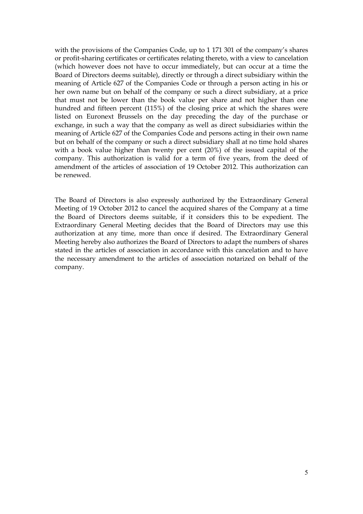with the provisions of the Companies Code, up to 1 171 301 of the company's shares or profit-sharing certificates or certificates relating thereto, with a view to cancelation (which however does not have to occur immediately, but can occur at a time the Board of Directors deems suitable), directly or through a direct subsidiary within the meaning of Article 627 of the Companies Code or through a person acting in his or her own name but on behalf of the company or such a direct subsidiary, at a price that must not be lower than the book value per share and not higher than one hundred and fifteen percent (115%) of the closing price at which the shares were listed on Euronext Brussels on the day preceding the day of the purchase or exchange, in such a way that the company as well as direct subsidiaries within the meaning of Article 627 of the Companies Code and persons acting in their own name but on behalf of the company or such a direct subsidiary shall at no time hold shares with a book value higher than twenty per cent (20%) of the issued capital of the company. This authorization is valid for a term of five years, from the deed of amendment of the articles of association of 19 October 2012. This authorization can be renewed.

The Board of Directors is also expressly authorized by the Extraordinary General Meeting of 19 October 2012 to cancel the acquired shares of the Company at a time the Board of Directors deems suitable, if it considers this to be expedient. The Extraordinary General Meeting decides that the Board of Directors may use this authorization at any time, more than once if desired. The Extraordinary General Meeting hereby also authorizes the Board of Directors to adapt the numbers of shares stated in the articles of association in accordance with this cancelation and to have the necessary amendment to the articles of association notarized on behalf of the company.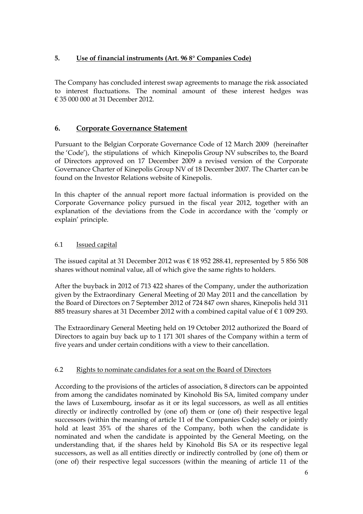# **5. Use of financial instruments (Art. 96 8° Companies Code)**

The Company has concluded interest swap agreements to manage the risk associated to interest fluctuations. The nominal amount of these interest hedges was € 35 000 000 at 31 December 2012.

# **6. Corporate Governance Statement**

Pursuant to the Belgian Corporate Governance Code of 12 March 2009 (hereinafter the "Code"), the stipulations of which Kinepolis Group NV subscribes to, the Board of Directors approved on 17 December 2009 a revised version of the Corporate Governance Charter of Kinepolis Group NV of 18 December 2007. The Charter can be found on the Investor Relations website of Kinepolis.

In this chapter of the annual report more factual information is provided on the Corporate Governance policy pursued in the fiscal year 2012, together with an explanation of the deviations from the Code in accordance with the "comply or explain' principle.

# 6.1 Issued capital

The issued capital at 31 December 2012 was  $\epsilon$  18 952 288.41, represented by 5 856 508 shares without nominal value, all of which give the same rights to holders.

After the buyback in 2012 of 713 422 shares of the Company, under the authorization given by the Extraordinary General Meeting of 20 May 2011 and the cancellation by the Board of Directors on 7 September 2012 of 724 847 own shares, Kinepolis held 311 885 treasury shares at 31 December 2012 with a combined capital value of  $\epsilon$  1 009 293.

The Extraordinary General Meeting held on 19 October 2012 authorized the Board of Directors to again buy back up to 1 171 301 shares of the Company within a term of five years and under certain conditions with a view to their cancellation.

## 6.2 Rights to nominate candidates for a seat on the Board of Directors

According to the provisions of the articles of association, 8 directors can be appointed from among the candidates nominated by Kinohold Bis SA, limited company under the laws of Luxembourg, insofar as it or its legal successors, as well as all entities directly or indirectly controlled by (one of) them or (one of) their respective legal successors (within the meaning of article 11 of the Companies Code) solely or jointly hold at least 35% of the shares of the Company, both when the candidate is nominated and when the candidate is appointed by the General Meeting, on the understanding that, if the shares held by Kinohold Bis SA or its respective legal successors, as well as all entities directly or indirectly controlled by (one of) them or (one of) their respective legal successors (within the meaning of article 11 of the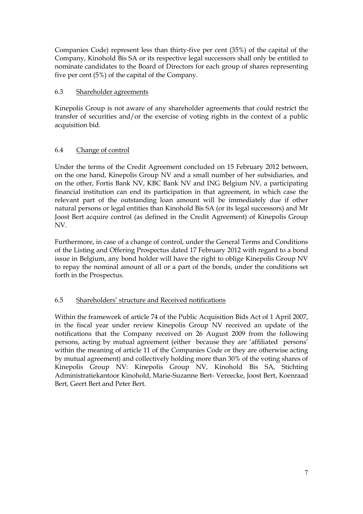Companies Code) represent less than thirty-five per cent (35%) of the capital of the Company, Kinohold Bis SA or its respective legal successors shall only be entitled to nominate candidates to the Board of Directors for each group of shares representing five per cent (5%) of the capital of the Company.

# 6.3 Shareholder agreements

Kinepolis Group is not aware of any shareholder agreements that could restrict the transfer of securities and/or the exercise of voting rights in the context of a public acquisition bid.

# 6.4 Change of control

Under the terms of the Credit Agreement concluded on 15 February 2012 between, on the one hand, Kinepolis Group NV and a small number of her subsidiaries, and on the other, Fortis Bank NV, KBC Bank NV and ING Belgium NV, a participating financial institution can end its participation in that agreement, in which case the relevant part of the outstanding loan amount will be immediately due if other natural persons or legal entities than Kinohold Bis SA (or its legal successors) and Mr Joost Bert acquire control (as defined in the Credit Agreement) of Kinepolis Group NV.

Furthermore, in case of a change of control, under the General Terms and Conditions of the Listing and Offering Prospectus dated 17 February 2012 with regard to a bond issue in Belgium, any bond holder will have the right to oblige Kinepolis Group NV to repay the nominal amount of all or a part of the bonds, under the conditions set forth in the Prospectus.

## 6.5 Shareholders" structure and Received notifications

Within the framework of article 74 of the Public Acquisition Bids Act of 1 April 2007, in the fiscal year under review Kinepolis Group NV received an update of the notifications that the Company received on 26 August 2009 from the following persons, acting by mutual agreement (either because they are "affiliated persons" within the meaning of article 11 of the Companies Code or they are otherwise acting by mutual agreement) and collectively holding more than 30% of the voting shares of Kinepolis Group NV: Kinepolis Group NV, Kinohold Bis SA, Stichting Administratiekantoor Kinohold, Marie-Suzanne Bert- Vereecke, Joost Bert, Koenraad Bert, Geert Bert and Peter Bert.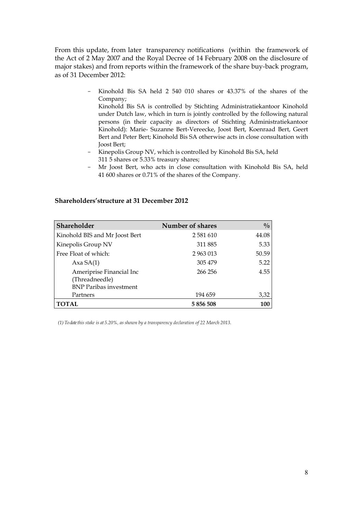From this update, from later transparency notifications (within the framework of the Act of 2 May 2007 and the Royal Decree of 14 February 2008 on the disclosure of major stakes) and from reports within the framework of the share buy-back program, as of 31 December 2012:

> - Kinohold Bis SA held 2 540 010 shares or 43.37% of the shares of the Company;

Kinohold Bis SA is controlled by Stichting Administratiekantoor Kinohold under Dutch law, which in turn is jointly controlled by the following natural persons (in their capacity as directors of Stichting Administratiekantoor Kinohold): Marie- Suzanne Bert-Vereecke, Joost Bert, Koenraad Bert, Geert Bert and Peter Bert; Kinohold Bis SA otherwise acts in close consultation with Joost Bert;

- Kinepolis Group NV, which is controlled by Kinohold Bis SA, held 311 5 shares or 5.33% treasury shares;
- Mr Joost Bert, who acts in close consultation with Kinohold Bis SA, held 41 600 shares or 0.71% of the shares of the Company.

| <b>Shareholder</b>                                                          | <b>Number of shares</b> | $^{0}/_{0}$ |
|-----------------------------------------------------------------------------|-------------------------|-------------|
| Kinohold BIS and Mr Joost Bert                                              | 2 5 8 1 6 1 0           | 44.08       |
| Kinepolis Group NV                                                          | 311 885                 | 5.33        |
| Free Float of which:                                                        | 2 963 013               | 50.59       |
| Axa $SA(1)$                                                                 | 305 479                 | 5.22        |
| Ameriprise Financial Inc<br>(Threadneedle)<br><b>BNP</b> Paribas investment | 266 256                 | 4.55        |
| Partners                                                                    | 194 659                 | 3,32        |
|                                                                             |                         |             |

**TOTAL 5 856 508 100**

#### **Shareholders'structure at 31 December 2012**

*(1) To date this stake is at 5.20%, as shown by a transparency declaration of 22 March 2013.*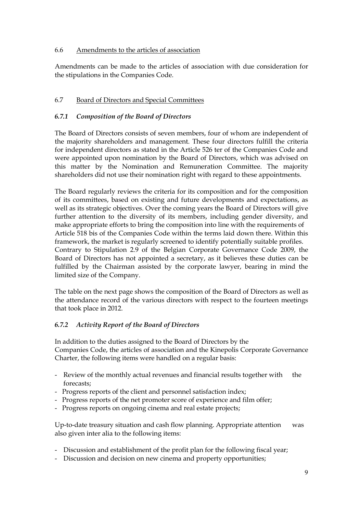# 6.6 Amendments to the articles of association

Amendments can be made to the articles of association with due consideration for the stipulations in the Companies Code.

# 6.7 Board of Directors and Special Committees

# *6.7.1 Composition of the Board of Directors*

The Board of Directors consists of seven members, four of whom are independent of the majority shareholders and management. These four directors fulfill the criteria for independent directors as stated in the Article 526 ter of the Companies Code and were appointed upon nomination by the Board of Directors, which was advised on this matter by the Nomination and Remuneration Committee. The majority shareholders did not use their nomination right with regard to these appointments.

The Board regularly reviews the criteria for its composition and for the composition of its committees, based on existing and future developments and expectations, as well as its strategic objectives. Over the coming years the Board of Directors will give further attention to the diversity of its members, including gender diversity, and make appropriate efforts to bring the composition into line with the requirements of Article 518 bis of the Companies Code within the terms laid down there. Within this framework, the market is regularly screened to identify potentially suitable profiles. Contrary to Stipulation 2.9 of the Belgian Corporate Governance Code 2009, the Board of Directors has not appointed a secretary, as it believes these duties can be fulfilled by the Chairman assisted by the corporate lawyer, bearing in mind the limited size of the Company.

The table on the next page shows the composition of the Board of Directors as well as the attendance record of the various directors with respect to the fourteen meetings that took place in 2012.

# *6.7.2 Activity Report of the Board of Directors*

In addition to the duties assigned to the Board of Directors by the Companies Code, the articles of association and the Kinepolis Corporate Governance Charter, the following items were handled on a regular basis:

- Review of the monthly actual revenues and financial results together with the forecasts;
- Progress reports of the client and personnel satisfaction index;
- Progress reports of the net promoter score of experience and film offer;
- Progress reports on ongoing cinema and real estate projects;

Up-to-date treasury situation and cash flow planning. Appropriate attention was also given inter alia to the following items:

- Discussion and establishment of the profit plan for the following fiscal year;
- Discussion and decision on new cinema and property opportunities;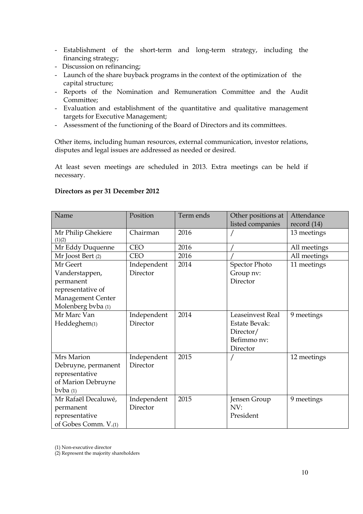- Establishment of the short-term and long-term strategy, including the financing strategy;
- Discussion on refinancing;
- Launch of the share buyback programs in the context of the optimization of the capital structure;
- Reports of the Nomination and Remuneration Committee and the Audit Committee;
- Evaluation and establishment of the quantitative and qualitative management targets for Executive Management;
- Assessment of the functioning of the Board of Directors and its committees.

Other items, including human resources, external communication, investor relations, disputes and legal issues are addressed as needed or desired.

At least seven meetings are scheduled in 2013. Extra meetings can be held if necessary.

# **Directors as per 31 December 2012**

| Name                 | Position    | Term ends | Other positions at   | Attendance    |
|----------------------|-------------|-----------|----------------------|---------------|
|                      |             |           | listed companies     | record $(14)$ |
| Mr Philip Ghekiere   | Chairman    | 2016      |                      | 13 meetings   |
| (1)(2)               |             |           |                      |               |
| Mr Eddy Duquenne     | <b>CEO</b>  | 2016      |                      | All meetings  |
| Mr Joost Bert (2)    | <b>CEO</b>  | 2016      |                      | All meetings  |
| Mr Geert             | Independent | 2014      | <b>Spector Photo</b> | 11 meetings   |
| Vanderstappen,       | Director    |           | Group nv:            |               |
| permanent            |             |           | Director             |               |
| representative of    |             |           |                      |               |
| Management Center    |             |           |                      |               |
| Molenberg bvba (1)   |             |           |                      |               |
| Mr Marc Van          | Independent | 2014      | Leaseinvest Real     | 9 meetings    |
| Heddeghem(1)         | Director    |           | <b>Estate Bevak:</b> |               |
|                      |             |           | Director/            |               |
|                      |             |           | Befimmo nv:          |               |
|                      |             |           | Director             |               |
| Mrs Marion           | Independent | 2015      |                      | 12 meetings   |
| Debruyne, permanent  | Director    |           |                      |               |
| representative       |             |           |                      |               |
| of Marion Debruyne   |             |           |                      |               |
| byba $(1)$           |             |           |                      |               |
| Mr Rafaël Decaluwé,  | Independent | 2015      | Jensen Group         | 9 meetings    |
| permanent            | Director    |           | NV:                  |               |
| representative       |             |           | President            |               |
| of Gobes Comm. V.(1) |             |           |                      |               |

(1) Non-executive director

(2) Represent the majority shareholders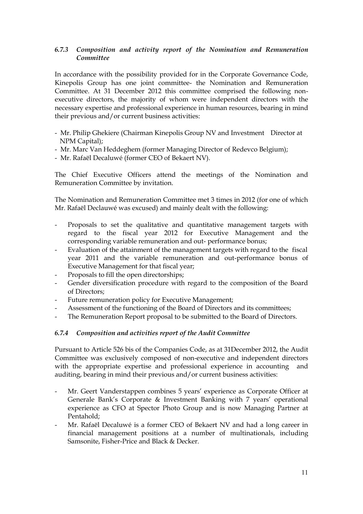# *6.7.3 Composition and activity report of the Nomination and Remuneration Committee*

In accordance with the possibility provided for in the Corporate Governance Code, Kinepolis Group has one joint committee- the Nomination and Remuneration Committee. At 31 December 2012 this committee comprised the following nonexecutive directors, the majority of whom were independent directors with the necessary expertise and professional experience in human resources, bearing in mind their previous and/or current business activities:

- Mr. Philip Ghekiere (Chairman Kinepolis Group NV and Investment Director at NPM Capital);
- Mr. Marc Van Heddeghem (former Managing Director of Redevco Belgium);
- Mr. Rafaël Decaluwé (former CEO of Bekaert NV).

The Chief Executive Officers attend the meetings of the Nomination and Remuneration Committee by invitation.

The Nomination and Remuneration Committee met 3 times in 2012 (for one of which Mr. Rafaël Declauwé was excused) and mainly dealt with the following:

- Proposals to set the qualitative and quantitative management targets with regard to the fiscal year 2012 for Executive Management and the corresponding variable remuneration and out- performance bonus;
- Evaluation of the attainment of the management targets with regard to the fiscal year 2011 and the variable remuneration and out-performance bonus of Executive Management for that fiscal year;
- Proposals to fill the open directorships;
- Gender diversification procedure with regard to the composition of the Board of Directors;
- Future remuneration policy for Executive Management;
- Assessment of the functioning of the Board of Directors and its committees;
- The Remuneration Report proposal to be submitted to the Board of Directors.

# *6.7.4 Composition and activities report of the Audit Committee*

Pursuant to Article 526 bis of the Companies Code, as at 31December 2012, the Audit Committee was exclusively composed of non-executive and independent directors with the appropriate expertise and professional experience in accounting and auditing, bearing in mind their previous and/or current business activities:

- Mr. Geert Vanderstappen combines 5 years' experience as Corporate Officer at Generale Bank's Corporate & Investment Banking with 7 years' operational experience as CFO at Spector Photo Group and is now Managing Partner at Pentahold;
- Mr. Rafaël Decaluwé is a former CEO of Bekaert NV and had a long career in financial management positions at a number of multinationals, including Samsonite, Fisher-Price and Black & Decker.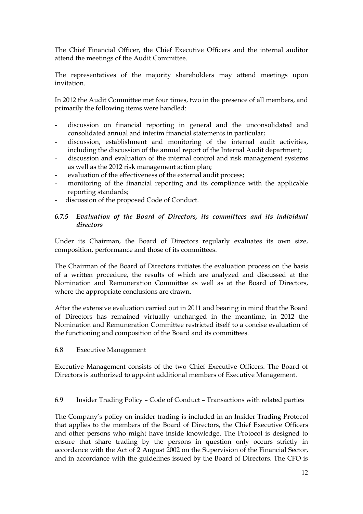The Chief Financial Officer, the Chief Executive Officers and the internal auditor attend the meetings of the Audit Committee.

The representatives of the majority shareholders may attend meetings upon invitation.

In 2012 the Audit Committee met four times, two in the presence of all members, and primarily the following items were handled:

- discussion on financial reporting in general and the unconsolidated and consolidated annual and interim financial statements in particular;
- discussion, establishment and monitoring of the internal audit activities, including the discussion of the annual report of the Internal Audit department;
- discussion and evaluation of the internal control and risk management systems as well as the 2012 risk management action plan;
- evaluation of the effectiveness of the external audit process;
- monitoring of the financial reporting and its compliance with the applicable reporting standards;
- discussion of the proposed Code of Conduct.

## *6.7.5 Evaluation of the Board of Directors, its committees and its individual directors*

Under its Chairman, the Board of Directors regularly evaluates its own size, composition, performance and those of its committees.

The Chairman of the Board of Directors initiates the evaluation process on the basis of a written procedure, the results of which are analyzed and discussed at the Nomination and Remuneration Committee as well as at the Board of Directors, where the appropriate conclusions are drawn.

After the extensive evaluation carried out in 2011 and bearing in mind that the Board of Directors has remained virtually unchanged in the meantime, in 2012 the Nomination and Remuneration Committee restricted itself to a concise evaluation of the functioning and composition of the Board and its committees.

## 6.8 Executive Management

Executive Management consists of the two Chief Executive Officers. The Board of Directors is authorized to appoint additional members of Executive Management.

#### 6.9 Insider Trading Policy – Code of Conduct – Transactions with related parties

The Company"s policy on insider trading is included in an Insider Trading Protocol that applies to the members of the Board of Directors, the Chief Executive Officers and other persons who might have inside knowledge. The Protocol is designed to ensure that share trading by the persons in question only occurs strictly in accordance with the Act of 2 August 2002 on the Supervision of the Financial Sector, and in accordance with the guidelines issued by the Board of Directors. The CFO is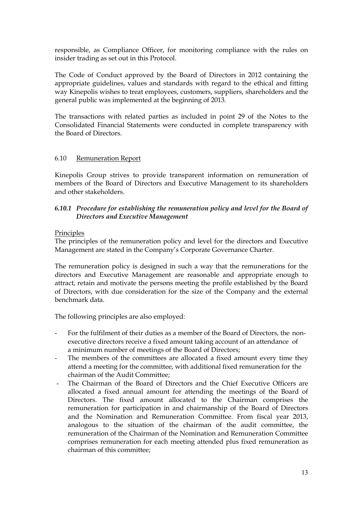responsible, as Compliance Officer, for monitoring compliance with the rules on insider trading as set out in this Protocol.

The Code of Conduct approved by the Board of Directors in 2012 containing the appropriate guidelines, values and standards with regard to the ethical and fitting way Kinepolis wishes to treat employees, customers, suppliers, shareholders and the general public was implemented at the beginning of 2013.

The transactions with related parties as included in point 29 of the Notes to the Consolidated Financial Statements were conducted in complete transparency with the Board of Directors.

#### 6.10 Remuneration Report

Kinepolis Group strives to provide transparent information on remuneration of members of the Board of Directors and Executive Management to its shareholders and other stakeholders.

# *6.10.1 Procedure for establishing the remuneration policy and level for the Board of Directors and Executive Management*

#### Principles

The principles of the remuneration policy and level for the directors and Executive Management are stated in the Company"s Corporate Governance Charter.

The remuneration policy is designed in such a way that the remunerations for the directors and Executive Management are reasonable and appropriate enough to attract, retain and motivate the persons meeting the profile established by the Board of Directors, with due consideration for the size of the Company and the external benchmark data.

The following principles are also employed:

- For the fulfilment of their duties as a member of the Board of Directors, the nonexecutive directors receive a fixed amount taking account of an attendance of a minimum number of meetings of the Board of Directors;
- The members of the committees are allocated a fixed amount every time they attend a meeting for the committee, with additional fixed remuneration for the chairman of the Audit Committee;
- The Chairman of the Board of Directors and the Chief Executive Officers are allocated a fixed annual amount for attending the meetings of the Board of Directors. The fixed amount allocated to the Chairman comprises the remuneration for participation in and chairmanship of the Board of Directors and the Nomination and Remuneration Committee. From fiscal year 2013, analogous to the situation of the chairman of the audit committee, the remuneration of the Chairman of the Nomination and Remuneration Committee comprises remuneration for each meeting attended plus fixed remuneration as chairman of this committee;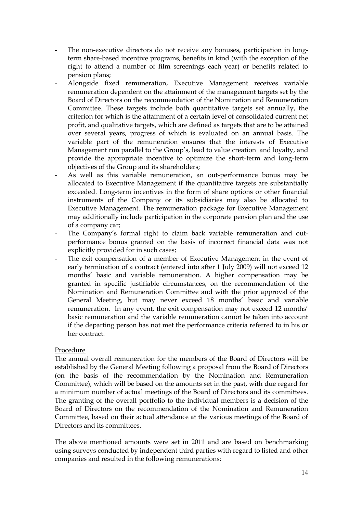- The non-executive directors do not receive any bonuses, participation in longterm share-based incentive programs, benefits in kind (with the exception of the right to attend a number of film screenings each year) or benefits related to pension plans;
- Alongside fixed remuneration, Executive Management receives variable remuneration dependent on the attainment of the management targets set by the Board of Directors on the recommendation of the Nomination and Remuneration Committee. These targets include both quantitative targets set annually, the criterion for which is the attainment of a certain level of consolidated current net profit, and qualitative targets, which are defined as targets that are to be attained over several years, progress of which is evaluated on an annual basis. The variable part of the remuneration ensures that the interests of Executive Management run parallel to the Group"s, lead to value creation and loyalty, and provide the appropriate incentive to optimize the short-term and long-term objectives of the Group and its shareholders;
- As well as this variable remuneration, an out-performance bonus may be allocated to Executive Management if the quantitative targets are substantially exceeded. Long-term incentives in the form of share options or other financial instruments of the Company or its subsidiaries may also be allocated to Executive Management. The remuneration package for Executive Management may additionally include participation in the corporate pension plan and the use of a company car;
- The Company's formal right to claim back variable remuneration and outperformance bonus granted on the basis of incorrect financial data was not explicitly provided for in such cases;
- The exit compensation of a member of Executive Management in the event of early termination of a contract (entered into after 1 July 2009) will not exceed 12 months" basic and variable remuneration. A higher compensation may be granted in specific justifiable circumstances, on the recommendation of the Nomination and Remuneration Committee and with the prior approval of the General Meeting, but may never exceed 18 months' basic and variable remuneration. In any event, the exit compensation may not exceed 12 months" basic remuneration and the variable remuneration cannot be taken into account if the departing person has not met the performance criteria referred to in his or her contract.

## Procedure

The annual overall remuneration for the members of the Board of Directors will be established by the General Meeting following a proposal from the Board of Directors (on the basis of the recommendation by the Nomination and Remuneration Committee), which will be based on the amounts set in the past, with due regard for a minimum number of actual meetings of the Board of Directors and its committees. The granting of the overall portfolio to the individual members is a decision of the Board of Directors on the recommendation of the Nomination and Remuneration Committee, based on their actual attendance at the various meetings of the Board of Directors and its committees.

The above mentioned amounts were set in 2011 and are based on benchmarking using surveys conducted by independent third parties with regard to listed and other companies and resulted in the following remunerations: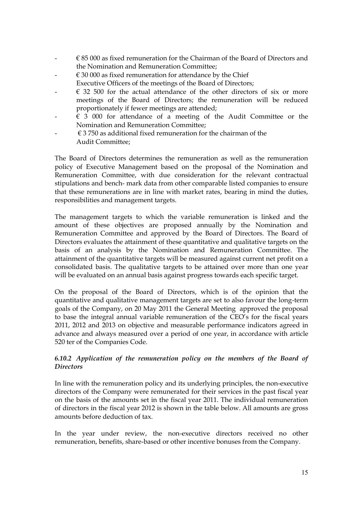- $\epsilon$  85 000 as fixed remuneration for the Chairman of the Board of Directors and the Nomination and Remuneration Committee;
- $\epsilon$  30 000 as fixed remuneration for attendance by the Chief
- Executive Officers of the meetings of the Board of Directors;
- $\epsilon$  32 500 for the actual attendance of the other directors of six or more meetings of the Board of Directors; the remuneration will be reduced proportionately if fewer meetings are attended;
- $63000$  for attendance of a meeting of the Audit Committee or the Nomination and Remuneration Committee;
- $\epsilon$  3 750 as additional fixed remuneration for the chairman of the Audit Committee;

The Board of Directors determines the remuneration as well as the remuneration policy of Executive Management based on the proposal of the Nomination and Remuneration Committee, with due consideration for the relevant contractual stipulations and bench- mark data from other comparable listed companies to ensure that these remunerations are in line with market rates, bearing in mind the duties, responsibilities and management targets.

The management targets to which the variable remuneration is linked and the amount of these objectives are proposed annually by the Nomination and Remuneration Committee and approved by the Board of Directors. The Board of Directors evaluates the attainment of these quantitative and qualitative targets on the basis of an analysis by the Nomination and Remuneration Committee. The attainment of the quantitative targets will be measured against current net profit on a consolidated basis. The qualitative targets to be attained over more than one year will be evaluated on an annual basis against progress towards each specific target.

On the proposal of the Board of Directors, which is of the opinion that the quantitative and qualitative management targets are set to also favour the long-term goals of the Company, on 20 May 2011 the General Meeting approved the proposal to base the integral annual variable remuneration of the CEO"s for the fiscal years 2011, 2012 and 2013 on objective and measurable performance indicators agreed in advance and always measured over a period of one year, in accordance with article 520 ter of the Companies Code.

# *6.10.2 Application of the remuneration policy on the members of the Board of Directors*

In line with the remuneration policy and its underlying principles, the non-executive directors of the Company were remunerated for their services in the past fiscal year on the basis of the amounts set in the fiscal year 2011. The individual remuneration of directors in the fiscal year 2012 is shown in the table below. All amounts are gross amounts before deduction of tax.

In the year under review, the non-executive directors received no other remuneration, benefits, share-based or other incentive bonuses from the Company.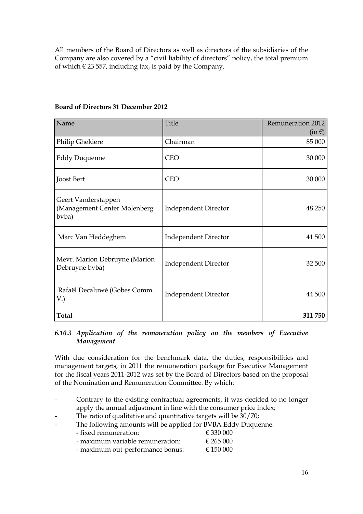All members of the Board of Directors as well as directors of the subsidiaries of the Company are also covered by a "civil liability of directors" policy, the total premium of which  $\epsilon$  23 557, including tax, is paid by the Company.

| Name                                                         | Title                       | <b>Remuneration 2012</b><br>$(in \in)$ |
|--------------------------------------------------------------|-----------------------------|----------------------------------------|
| Philip Ghekiere                                              | Chairman                    | 85 000                                 |
| <b>Eddy Duquenne</b>                                         | <b>CEO</b>                  | 30 000                                 |
| Joost Bert                                                   | <b>CEO</b>                  | 30 000                                 |
| Geert Vanderstappen<br>(Management Center Molenberg<br>bvba) | <b>Independent Director</b> | 48 250                                 |
| Marc Van Heddeghem                                           | <b>Independent Director</b> | 41 500                                 |
| Mevr. Marion Debruyne (Marion<br>Debruyne bvba)              | <b>Independent Director</b> | 32 500                                 |
| Rafaël Decaluwé (Gobes Comm.<br>V.                           | <b>Independent Director</b> | 44 500                                 |
| <b>Total</b>                                                 |                             | 311 750                                |

# **Board of Directors 31 December 2012**

#### *6.10.3 Application of the remuneration policy on the members of Executive Management*

With due consideration for the benchmark data, the duties, responsibilities and management targets, in 2011 the remuneration package for Executive Management for the fiscal years 2011-2012 was set by the Board of Directors based on the proposal of the Nomination and Remuneration Committee. By which:

- Contrary to the existing contractual agreements, it was decided to no longer apply the annual adjustment in line with the consumer price index;
- The ratio of qualitative and quantitative targets will be 30/70;
- The following amounts will be applied for BVBA Eddy Duquenne:
	- $\epsilon$  fixed remuneration:  $\epsilon$  330 000
	- maximum variable remuneration:  $\epsilon$  265 000
	- maximum out-performance bonus:  $\epsilon$  150 000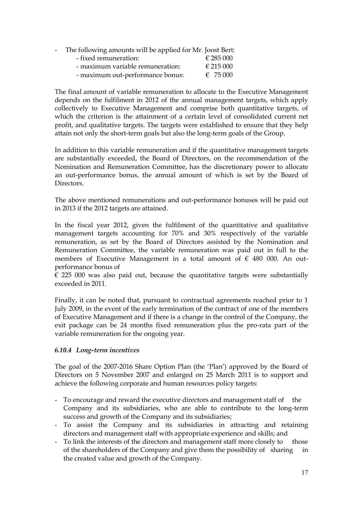- The following amounts will be applied for Mr. Joost Bert:

| - fixed remuneration:            | € 285 000         |
|----------------------------------|-------------------|
| - maximum variable remuneration: | € 215 000         |
| - maximum out-performance bonus: | $\epsilon$ 75 000 |

The final amount of variable remuneration to allocate to the Executive Management depends on the fulfilment in 2012 of the annual management targets, which apply collectively to Executive Management and comprise both quantitative targets, of which the criterion is the attainment of a certain level of consolidated current net profit, and qualitative targets. The targets were established to ensure that they help attain not only the short-term goals but also the long-term goals of the Group.

In addition to this variable remuneration and if the quantitative management targets are substantially exceeded, the Board of Directors, on the recommendation of the Nomination and Remuneration Committee, has the discretionary power to allocate an out-performance bonus, the annual amount of which is set by the Board of Directors.

The above mentioned remunerations and out-performance bonuses will be paid out in 2013 if the 2012 targets are attained.

In the fiscal year 2012, given the fulfilment of the quantitative and qualitative management targets accounting for 70% and 30% respectively of the variable remuneration, as set by the Board of Directors assisted by the Nomination and Remuneration Committee, the variable remuneration was paid out in full to the members of Executive Management in a total amount of € 480 000. An outperformance bonus of

 $\epsilon$  225 000 was also paid out, because the quantitative targets were substantially exceeded in 2011.

Finally, it can be noted that, pursuant to contractual agreements reached prior to 1 July 2009, in the event of the early termination of the contract of one of the members of Executive Management and if there is a change in the control of the Company, the exit package can be 24 months fixed remuneration plus the pro-rata part of the variable remuneration for the ongoing year.

# *6.10.4 Long-term incentives*

The goal of the 2007-2016 Share Option Plan (the "Plan") approved by the Board of Directors on 5 November 2007 and enlarged on 25 March 2011 is to support and achieve the following corporate and human resources policy targets:

- To encourage and reward the executive directors and management staff of the Company and its subsidiaries, who are able to contribute to the long-term success and growth of the Company and its subsidiaries;
- To assist the Company and its subsidiaries in attracting and retaining directors and management staff with appropriate experience and skills; and
- To link the interests of the directors and management staff more closely to those of the shareholders of the Company and give them the possibility of sharing in the created value and growth of the Company.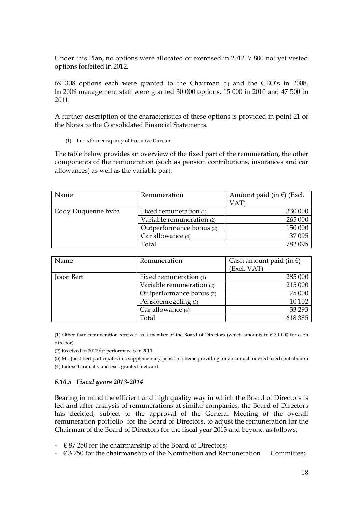Under this Plan, no options were allocated or exercised in 2012. 7 800 not yet vested options forfeited in 2012.

69 308 options each were granted to the Chairman (1) and the CEO"s in 2008. In 2009 management staff were granted 30 000 options, 15 000 in 2010 and 47 500 in 2011.

A further description of the characteristics of these options is provided in point 21 of the Notes to the Consolidated Financial Statements.

(1) In his former capacity of Executive Director

The table below provides an overview of the fixed part of the remuneration, the other components of the remuneration (such as pension contributions, insurances and car allowances) as well as the variable part.

| Name               | Remuneration              | Amount paid (in $\epsilon$ ) (Excl. |
|--------------------|---------------------------|-------------------------------------|
|                    |                           | VAT                                 |
| Eddy Duquenne byba | Fixed remuneration (1)    | 330 000                             |
|                    | Variable remuneration (2) | 265 000                             |
|                    | Outperformance bonus (2)  | 150 000                             |
|                    | Car allowance (4)         | 37 095                              |
|                    | Total                     | 782 095                             |

| Name       | Remuneration              | Cash amount paid (in $\epsilon$ )<br>(Excl. VAT) |
|------------|---------------------------|--------------------------------------------------|
| Joost Bert | Fixed remuneration (1)    | 285 000                                          |
|            | Variable remuneration (2) | 215 000                                          |
|            | Outperformance bonus (2)  | 75 000                                           |
|            | Pensioenregeling (3)      | 10 10 2                                          |
|            | Car allowance (4)         | 33 293                                           |
|            | Total                     | 618 385                                          |

(1) Other than remuneration received as a member of the Board of Directors (which amounts to  $\epsilon$  30 000 for each director)

(2) Received in 2012 for performances in 2011

(3) Mr. Joost Bert participates in a supplementary pension scheme providing for an annual indexed fixed contribution (4) Indexed annually and excl. granted fuel card

#### *6.10.5 Fiscal years 2013-2014*

Bearing in mind the efficient and high quality way in which the Board of Directors is led and after analysis of remunerations at similar companies, the Board of Directors has decided, subject to the approval of the General Meeting of the overall remuneration portfolio for the Board of Directors, to adjust the remuneration for the Chairman of the Board of Directors for the fiscal year 2013 and beyond as follows:

- $\div$   $\in$  87 250 for the chairmanship of the Board of Directors;
- $\epsilon$  3 750 for the chairmanship of the Nomination and Remuneration Committee;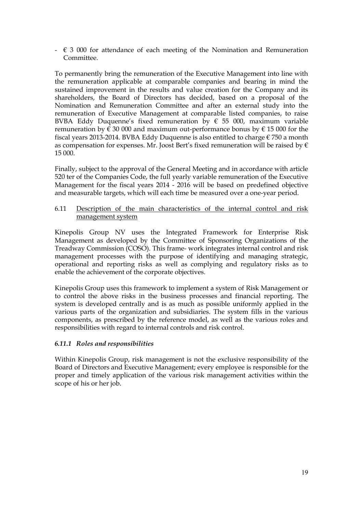$\epsilon$  3 000 for attendance of each meeting of the Nomination and Remuneration Committee.

To permanently bring the remuneration of the Executive Management into line with the remuneration applicable at comparable companies and bearing in mind the sustained improvement in the results and value creation for the Company and its shareholders, the Board of Directors has decided, based on a proposal of the Nomination and Remuneration Committee and after an external study into the remuneration of Executive Management at comparable listed companies, to raise BVBA Eddy Duquenne's fixed remuneration by  $\epsilon$  55 000, maximum variable remuneration by  $\epsilon$  30 000 and maximum out-performance bonus by  $\epsilon$  15 000 for the fiscal years 2013-2014. BVBA Eddy Duquenne is also entitled to charge  $\epsilon$  750 a month as compensation for expenses. Mr. Joost Bert's fixed remuneration will be raised by  $\epsilon$ 15 000.

Finally, subject to the approval of the General Meeting and in accordance with article 520 ter of the Companies Code, the full yearly variable remuneration of the Executive Management for the fiscal years 2014 - 2016 will be based on predefined objective and measurable targets, which will each time be measured over a one-year period.

#### 6.11 Description of the main characteristics of the internal control and risk management system

Kinepolis Group NV uses the Integrated Framework for Enterprise Risk Management as developed by the Committee of Sponsoring Organizations of the Treadway Commission (COSO). This frame- work integrates internal control and risk management processes with the purpose of identifying and managing strategic, operational and reporting risks as well as complying and regulatory risks as to enable the achievement of the corporate objectives.

Kinepolis Group uses this framework to implement a system of Risk Management or to control the above risks in the business processes and financial reporting. The system is developed centrally and is as much as possible uniformly applied in the various parts of the organization and subsidiaries. The system fills in the various components, as prescribed by the reference model, as well as the various roles and responsibilities with regard to internal controls and risk control.

## *6.11.1 Roles and responsibilities*

Within Kinepolis Group, risk management is not the exclusive responsibility of the Board of Directors and Executive Management; every employee is responsible for the proper and timely application of the various risk management activities within the scope of his or her job.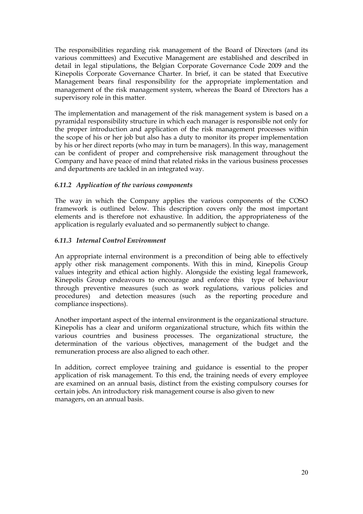The responsibilities regarding risk management of the Board of Directors (and its various committees) and Executive Management are established and described in detail in legal stipulations, the Belgian Corporate Governance Code 2009 and the Kinepolis Corporate Governance Charter. In brief, it can be stated that Executive Management bears final responsibility for the appropriate implementation and management of the risk management system, whereas the Board of Directors has a supervisory role in this matter.

The implementation and management of the risk management system is based on a pyramidal responsibility structure in which each manager is responsible not only for the proper introduction and application of the risk management processes within the scope of his or her job but also has a duty to monitor its proper implementation by his or her direct reports (who may in turn be managers). In this way, management can be confident of proper and comprehensive risk management throughout the Company and have peace of mind that related risks in the various business processes and departments are tackled in an integrated way.

# *6.11.2 Application of the various components*

The way in which the Company applies the various components of the COSO framework is outlined below. This description covers only the most important elements and is therefore not exhaustive. In addition, the appropriateness of the application is regularly evaluated and so permanently subject to change.

## *6.11.3 Internal Control Environment*

An appropriate internal environment is a precondition of being able to effectively apply other risk management components. With this in mind, Kinepolis Group values integrity and ethical action highly. Alongside the existing legal framework, Kinepolis Group endeavours to encourage and enforce this type of behaviour through preventive measures (such as work regulations, various policies and procedures) and detection measures (such as the reporting procedure and compliance inspections).

Another important aspect of the internal environment is the organizational structure. Kinepolis has a clear and uniform organizational structure, which fits within the various countries and business processes. The organizational structure, the determination of the various objectives, management of the budget and the remuneration process are also aligned to each other.

In addition, correct employee training and guidance is essential to the proper application of risk management. To this end, the training needs of every employee are examined on an annual basis, distinct from the existing compulsory courses for certain jobs. An introductory risk management course is also given to new managers, on an annual basis.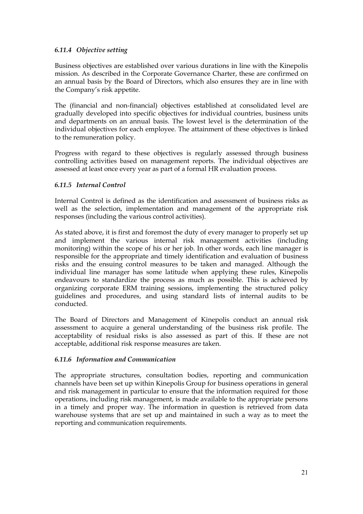# *6.11.4 Objective setting*

Business objectives are established over various durations in line with the Kinepolis mission. As described in the Corporate Governance Charter, these are confirmed on an annual basis by the Board of Directors, which also ensures they are in line with the Company's risk appetite.

The (financial and non-financial) objectives established at consolidated level are gradually developed into specific objectives for individual countries, business units and departments on an annual basis. The lowest level is the determination of the individual objectives for each employee. The attainment of these objectives is linked to the remuneration policy.

Progress with regard to these objectives is regularly assessed through business controlling activities based on management reports. The individual objectives are assessed at least once every year as part of a formal HR evaluation process.

## *6.11.5 Internal Control*

Internal Control is defined as the identification and assessment of business risks as well as the selection, implementation and management of the appropriate risk responses (including the various control activities).

As stated above, it is first and foremost the duty of every manager to properly set up and implement the various internal risk management activities (including monitoring) within the scope of his or her job. In other words, each line manager is responsible for the appropriate and timely identification and evaluation of business risks and the ensuing control measures to be taken and managed. Although the individual line manager has some latitude when applying these rules, Kinepolis endeavours to standardize the process as much as possible. This is achieved by organizing corporate ERM training sessions, implementing the structured policy guidelines and procedures, and using standard lists of internal audits to be conducted.

The Board of Directors and Management of Kinepolis conduct an annual risk assessment to acquire a general understanding of the business risk profile. The acceptability of residual risks is also assessed as part of this. If these are not acceptable, additional risk response measures are taken.

## *6.11.6 Information and Communication*

The appropriate structures, consultation bodies, reporting and communication channels have been set up within Kinepolis Group for business operations in general and risk management in particular to ensure that the information required for those operations, including risk management, is made available to the appropriate persons in a timely and proper way. The information in question is retrieved from data warehouse systems that are set up and maintained in such a way as to meet the reporting and communication requirements.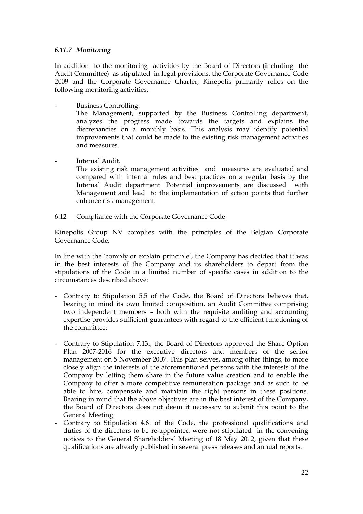## *6.11.7 Monitoring*

In addition to the monitoring activities by the Board of Directors (including the Audit Committee) as stipulated in legal provisions, the Corporate Governance Code 2009 and the Corporate Governance Charter, Kinepolis primarily relies on the following monitoring activities:

Business Controlling.

The Management, supported by the Business Controlling department, analyzes the progress made towards the targets and explains the discrepancies on a monthly basis. This analysis may identify potential improvements that could be made to the existing risk management activities and measures.

Internal Audit.

The existing risk management activities and measures are evaluated and compared with internal rules and best practices on a regular basis by the Internal Audit department. Potential improvements are discussed with Management and lead to the implementation of action points that further enhance risk management.

#### 6.12 Compliance with the Corporate Governance Code

Kinepolis Group NV complies with the principles of the Belgian Corporate Governance Code.

In line with the "comply or explain principle", the Company has decided that it was in the best interests of the Company and its shareholders to depart from the stipulations of the Code in a limited number of specific cases in addition to the circumstances described above:

- Contrary to Stipulation 5.5 of the Code, the Board of Directors believes that, bearing in mind its own limited composition, an Audit Committee comprising two independent members – both with the requisite auditing and accounting expertise provides sufficient guarantees with regard to the efficient functioning of the committee;
- Contrary to Stipulation 7.13., the Board of Directors approved the Share Option Plan 2007-2016 for the executive directors and members of the senior management on 5 November 2007. This plan serves, among other things, to more closely align the interests of the aforementioned persons with the interests of the Company by letting them share in the future value creation and to enable the Company to offer a more competitive remuneration package and as such to be able to hire, compensate and maintain the right persons in these positions. Bearing in mind that the above objectives are in the best interest of the Company, the Board of Directors does not deem it necessary to submit this point to the General Meeting.
- Contrary to Stipulation 4.6. of the Code, the professional qualifications and duties of the directors to be re-appointed were not stipulated in the convening notices to the General Shareholders" Meeting of 18 May 2012, given that these qualifications are already published in several press releases and annual reports.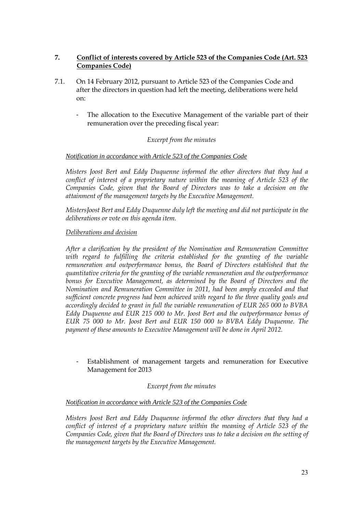# **7. Conflict of interests covered by Article 523 of the Companies Code (Art. 523 Companies Code)**

- 7.1. On 14 February 2012, pursuant to Article 523 of the Companies Code and after the directors in question had left the meeting, deliberations were held on:
	- The allocation to the Executive Management of the variable part of their remuneration over the preceding fiscal year:

## *Excerpt from the minutes*

## *Notification in accordance with Article 523 of the Companies Code*

*Misters Joost Bert and Eddy Duquenne informed the other directors that they had a conflict of interest of a proprietary nature within the meaning of Article 523 of the Companies Code, given that the Board of Directors was to take a decision on the attainment of the management targets by the Executive Management.*

*MistersJoost Bert and Eddy Duquenne duly left the meeting and did not participate in the deliberations or vote on this agenda item.*

#### *Deliberations and decision*

*After a clarification by the president of the Nomination and Remuneration Committee with regard to fulfilling the criteria established for the granting of the variable remuneration and outperformance bonus, the Board of Directors established that the quantitative criteria for the granting of the variable remuneration and the outperformance bonus for Executive Management, as determined by the Board of Directors and the Nomination and Remuneration Committee in 2011, had been amply exceeded and that sufficient concrete progress had been achieved with regard to the three quality goals and accordingly decided to grant in full the variable remuneration of EUR 265 000 to BVBA Eddy Duquenne and EUR 215 000 to Mr. Joost Bert and the outperformance bonus of EUR 75 000 to Mr. Joost Bert and EUR 150 000 to BVBA Eddy Duquenne. The payment of these amounts to Executive Management will be done in April 2012.*

Establishment of management targets and remuneration for Executive Management for 2013

#### *Excerpt from the minutes*

#### *Notification in accordance with Article 523 of the Companies Code*

*Misters Joost Bert and Eddy Duquenne informed the other directors that they had a conflict of interest of a proprietary nature within the meaning of Article 523 of the Companies Code, given that the Board of Directors was to take a decision on the setting of the management targets by the Executive Management.*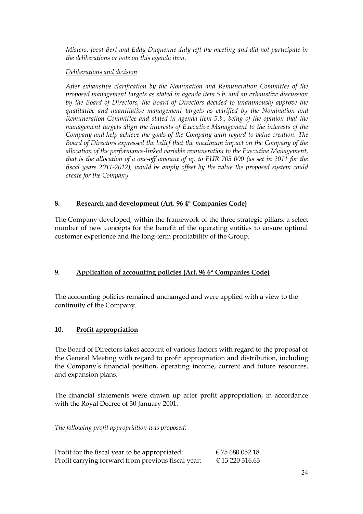*Misters. Joost Bert and Eddy Duquenne duly left the meeting and did not participate in the deliberations or vote on this agenda item.*

# *Deliberations and decision*

*After exhaustive clarification by the Nomination and Remuneration Committee of the proposed management targets as stated in agenda item 5.b. and an exhaustive discussion by the Board of Directors, the Board of Directors decided to unanimously approve the qualitative and quantitative management targets as clarified by the Nomination and Remuneration Committee and stated in agenda item 5.b., being of the opinion that the management targets align the interests of Executive Management to the interests of the Company and help achieve the goals of the Company with regard to value creation. The Board of Directors expressed the belief that the maximum impact on the Company of the allocation of the performance-linked variable remuneration to the Executive Management, that is the allocation of a one-off amount of up to EUR 705 000 (as set in 2011 for the fiscal years 2011-2012), would be amply offset by the value the proposed system could create for the Company.*

# **8. Research and development (Art. 96 4° Companies Code)**

The Company developed, within the framework of the three strategic pillars, a select number of new concepts for the benefit of the operating entities to ensure optimal customer experience and the long-term profitability of the Group.

# **9. Application of accounting policies (Art. 96 6° Companies Code)**

The accounting policies remained unchanged and were applied with a view to the continuity of the Company.

## **10. Profit appropriation**

The Board of Directors takes account of various factors with regard to the proposal of the General Meeting with regard to profit appropriation and distribution, including the Company"s financial position, operating income, current and future resources, and expansion plans.

The financial statements were drawn up after profit appropriation, in accordance with the Royal Decree of 30 January 2001.

*The following profit appropriation was proposed:*

| Profit for the fiscal year to be appropriated:     |  | € 75 680 052.18 |
|----------------------------------------------------|--|-----------------|
| Profit carrying forward from previous fiscal year: |  | € 13 220 316.63 |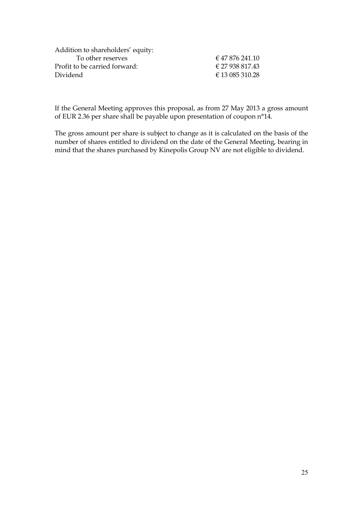| Addition to shareholders' equity: |                     |
|-----------------------------------|---------------------|
| To other reserves                 | $\in$ 47 876 241.10 |
| Profit to be carried forward:     | € 27 938 817.43     |
| Dividend                          | € 13 085 310.28     |
|                                   |                     |

If the General Meeting approves this proposal, as from 27 May 2013 a gross amount of EUR 2.36 per share shall be payable upon presentation of coupon n°14.

The gross amount per share is subject to change as it is calculated on the basis of the number of shares entitled to dividend on the date of the General Meeting, bearing in mind that the shares purchased by Kinepolis Group NV are not eligible to dividend.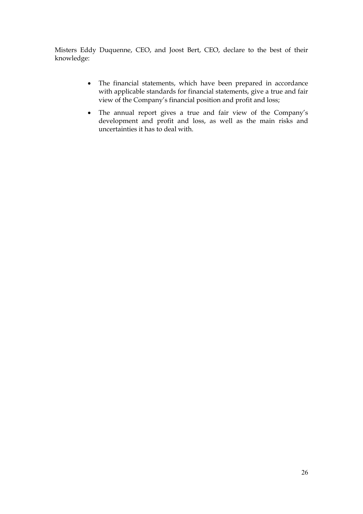Misters Eddy Duquenne, CEO, and Joost Bert, CEO, declare to the best of their knowledge:

- The financial statements, which have been prepared in accordance with applicable standards for financial statements, give a true and fair view of the Company"s financial position and profit and loss;
- The annual report gives a true and fair view of the Company"s development and profit and loss, as well as the main risks and uncertainties it has to deal with.